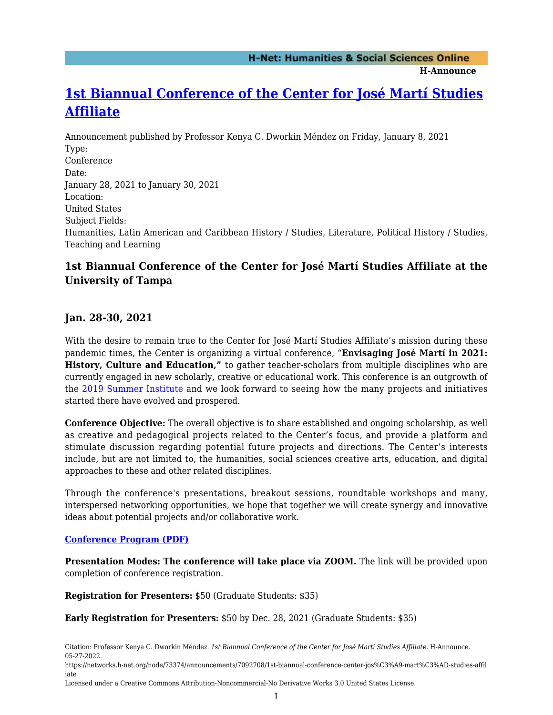**H-Announce** 

# **[1st Biannual Conference of the Center for José Martí Studies](https://networks.h-net.org/node/73374/announcements/7092708/1st-biannual-conference-center-jos%C3%A9-mart%C3%AD-studies-affiliate) [Affiliate](https://networks.h-net.org/node/73374/announcements/7092708/1st-biannual-conference-center-jos%C3%A9-mart%C3%AD-studies-affiliate)**

Announcement published by Professor Kenya C. Dworkin Méndez on Friday, January 8, 2021 Type: Conference Date: January 28, 2021 to January 30, 2021 Location: United States Subject Fields: Humanities, Latin American and Caribbean History / Studies, Literature, Political History / Studies, Teaching and Learning

# **1st Biannual Conference of the Center for José Martí Studies Affiliate at the University of Tampa**

# **Jan. 28-30, 2021**

With the desire to remain true to the Center for José Martí Studies Affiliate's mission during these pandemic times, the Center is organizing a virtual conference, "**Envisaging José Martí in 2021: History, Culture and Education,"** to gather teacher-scholars from multiple disciplines who are currently engaged in new scholarly, creative or educational work. This conference is an outgrowth of the [2019 Summer Institute](https://www.ut.edu/academics/college-of-arts-and-letters/center-for-jos%C3%A9-mart%C3%AD-studies-affiliate/2019-neh-summer-institute-archive-and-resources) and we look forward to seeing how the many projects and initiatives started there have evolved and prospered.

**Conference Objective:** The overall objective is to share established and ongoing scholarship, as well as creative and pedagogical projects related to the Center's focus, and provide a platform and stimulate discussion regarding potential future projects and directions. The Center's interests include, but are not limited to, the humanities, social sciences creative arts, education, and digital approaches to these and other related disciplines.

Through the conference's presentations, breakout sessions, roundtable workshops and many, interspersed networking opportunities, we hope that together we will create synergy and innovative ideas about potential projects and/or collaborative work.

## **[Conference Program \(PDF\)](https://www.ut.edu/uploadedFiles/Academics/CAL/Center_for_Jos%C3%A9_Mart%C3%AD_Studies_Affiliate/Marti%CC%81ConferencePreliminaryProgram2021.pdf)**

**Presentation Modes: The conference will take place via ZOOM.** The link will be provided upon completion of conference registration.

**Registration for Presenters:** \$50 (Graduate Students: \$35)

**Early Registration for Presenters:** \$50 by Dec. 28, 2021 (Graduate Students: \$35)

Citation: Professor Kenya C. Dworkin Méndez. *1st Biannual Conference of the Center for José Martí Studies Affiliate*. H-Announce. 05-27-2022.

https://networks.h-net.org/node/73374/announcements/7092708/1st-biannual-conference-center-jos%C3%A9-mart%C3%AD-studies-affil iate

Licensed under a Creative Commons Attribution-Noncommercial-No Derivative Works 3.0 United States License.